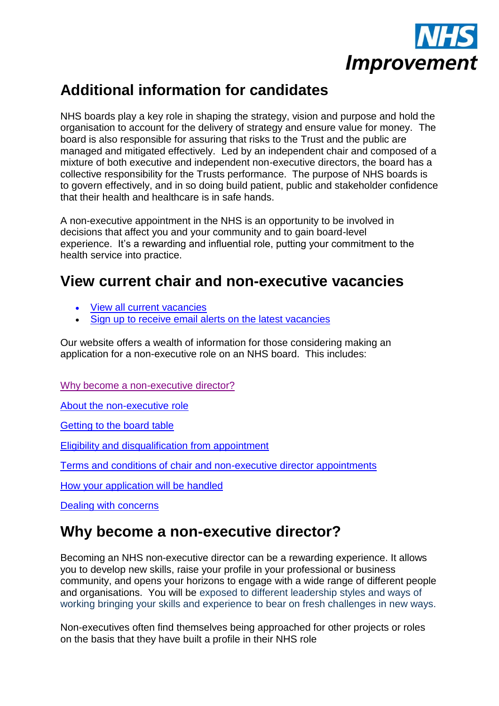

## **Additional information for candidates**

NHS boards play a key role in shaping the strategy, vision and purpose and hold the organisation to account for the delivery of strategy and ensure value for money. The board is also responsible for assuring that risks to the Trust and the public are managed and mitigated effectively. Led by an independent chair and composed of a mixture of both executive and independent non-executive directors, the board has a collective responsibility for the Trusts performance. The purpose of NHS boards is to govern effectively, and in so doing build patient, public and stakeholder confidence that their health and healthcare is in safe hands.

A non-executive appointment in the NHS is an opportunity to be involved in decisions that affect you and your community and to gain board-level experience. It's a rewarding and influential role, putting your commitment to the health service into practice.

## **View current chair and non-executive vacancies**

- [View all current vacancies](https://improvement.nhs.uk/news-alerts/?keywords=&articletype=appointment)
- [Sign up to receive email alerts on the latest vacancies](https://r1.dotmailer-surveys.com/342j9j73-2b1y4t4c)

Our website offers a wealth of information for those considering making an application for a non-executive role on an NHS board. This includes:

[Why become a non-executive director?](#page-0-0)

[About the non-executive role](#page-1-0)

[Getting to the board table](#page-4-0)

[Eligibility and disqualification from appointment](#page-5-0)

[Terms and conditions of chair and non-executive director appointments](#page-6-0)

[How your application will be handled](#page-7-0)

[Dealing with concerns](#page-9-0)

### <span id="page-0-0"></span>**Why become a non-executive director?**

Becoming an NHS non-executive director can be a rewarding experience. It allows you to develop new skills, raise your profile in your professional or business community, and opens your horizons to engage with a wide range of different people and organisations. You will be exposed to different leadership styles and ways of working bringing your skills and experience to bear on fresh challenges in new ways.

Non-executives often find themselves being approached for other projects or roles on the basis that they have built a profile in their NHS role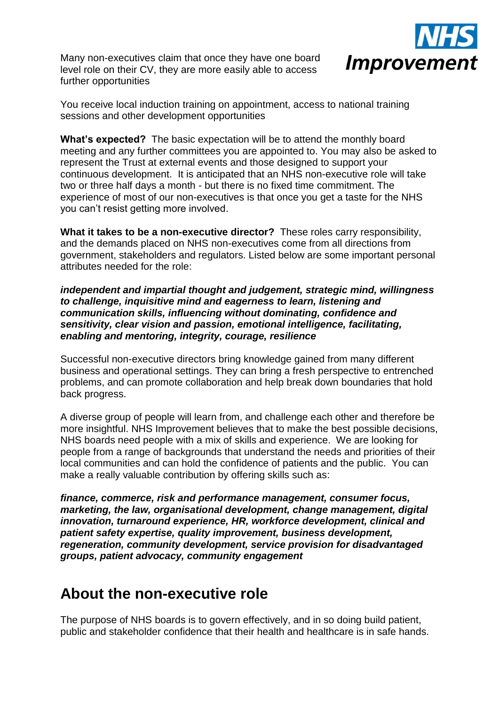Many non-executives claim that once they have one board level role on their CV, they are more easily able to access further opportunities



You receive local induction training on appointment, access to national training sessions and other development opportunities

**What's expected?** The basic expectation will be to attend the monthly board meeting and any further committees you are appointed to. You may also be asked to represent the Trust at external events and those designed to support your continuous development. It is anticipated that an NHS non-executive role will take two or three half days a month - but there is no fixed time commitment. The experience of most of our non-executives is that once you get a taste for the NHS you can't resist getting more involved.

**What it takes to be a non-executive director?** These roles carry responsibility, and the demands placed on NHS non-executives come from all directions from government, stakeholders and regulators. Listed below are some important personal attributes needed for the role:

#### *independent and impartial thought and judgement, strategic mind, willingness to challenge, inquisitive mind and eagerness to learn, listening and communication skills, influencing without dominating, confidence and sensitivity, clear vision and passion, emotional intelligence, facilitating, enabling and mentoring, integrity, courage, resilience*

Successful non-executive directors bring knowledge gained from many different business and operational settings. They can bring a fresh perspective to entrenched problems, and can promote collaboration and help break down boundaries that hold back progress.

A diverse group of people will learn from, and challenge each other and therefore be more insightful. NHS Improvement believes that to make the best possible decisions, NHS boards need people with a mix of skills and experience. We are looking for people from a range of backgrounds that understand the needs and priorities of their local communities and can hold the confidence of patients and the public. You can make a really valuable contribution by offering skills such as:

*finance, commerce, risk and performance management, consumer focus, marketing, the law, organisational development, change management, digital innovation, turnaround experience, HR, workforce development, clinical and patient safety expertise, quality improvement, business development, regeneration, community development, service provision for disadvantaged groups, patient advocacy, community engagement*

### <span id="page-1-0"></span>**About the non-executive role**

The purpose of NHS boards is to govern effectively, and in so doing build patient, public and stakeholder confidence that their health and healthcare is in safe hands.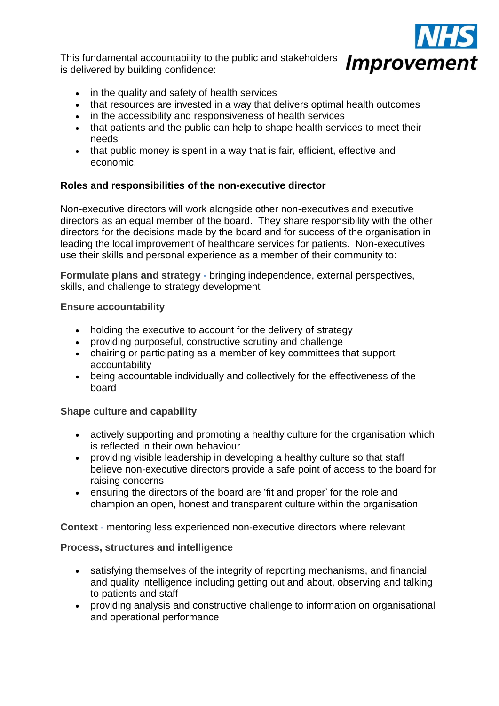This fundamental accountability to the public and stakeholders is delivered by building confidence:



- in the quality and safety of health services
- that resources are invested in a way that delivers optimal health outcomes
- in the accessibility and responsiveness of health services
- that patients and the public can help to shape health services to meet their needs
- that public money is spent in a way that is fair, efficient, effective and economic.

### **Roles and responsibilities of the non-executive director**

Non-executive directors will work alongside other non-executives and executive directors as an equal member of the board. They share responsibility with the other directors for the decisions made by the board and for success of the organisation in leading the local improvement of healthcare services for patients. Non-executives use their skills and personal experience as a member of their community to:

**Formulate plans and strategy -** bringing independence, external perspectives, skills, and challenge to strategy development

### **Ensure accountability**

- holding the executive to account for the delivery of strategy
- providing purposeful, constructive scrutiny and challenge
- chairing or participating as a member of key committees that support accountability
- being accountable individually and collectively for the effectiveness of the board

### **Shape culture and capability**

- actively supporting and promoting a healthy culture for the organisation which is reflected in their own behaviour
- providing visible leadership in developing a healthy culture so that staff believe non-executive directors provide a safe point of access to the board for raising concerns
- ensuring the directors of the board are 'fit and proper' for the role and champion an open, honest and transparent culture within the organisation

**Context** - mentoring less experienced non-executive directors where relevant

### **Process, structures and intelligence**

- satisfying themselves of the integrity of reporting mechanisms, and financial and quality intelligence including getting out and about, observing and talking to patients and staff
- providing analysis and constructive challenge to information on organisational and operational performance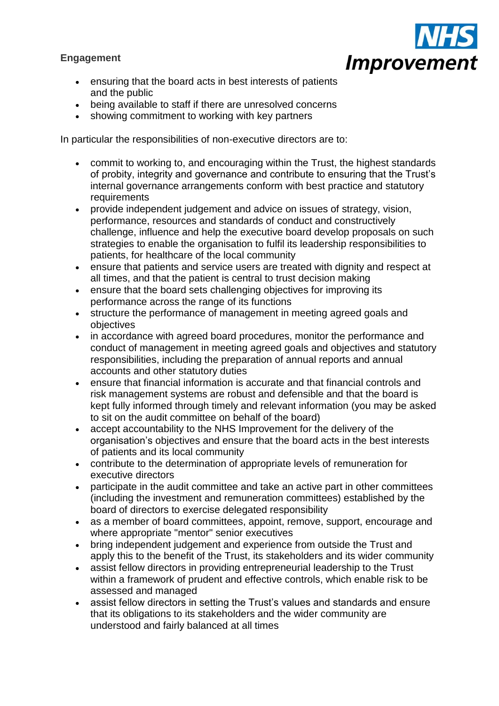### **Engagement**



- ensuring that the board acts in best interests of patients and the public
- being available to staff if there are unresolved concerns
- showing commitment to working with key partners

In particular the responsibilities of non-executive directors are to:

- commit to working to, and encouraging within the Trust, the highest standards of probity, integrity and governance and contribute to ensuring that the Trust's internal governance arrangements conform with best practice and statutory requirements
- provide independent judgement and advice on issues of strategy, vision, performance, resources and standards of conduct and constructively challenge, influence and help the executive board develop proposals on such strategies to enable the organisation to fulfil its leadership responsibilities to patients, for healthcare of the local community
- ensure that patients and service users are treated with dignity and respect at all times, and that the patient is central to trust decision making
- ensure that the board sets challenging objectives for improving its performance across the range of its functions
- structure the performance of management in meeting agreed goals and objectives
- in accordance with agreed board procedures, monitor the performance and conduct of management in meeting agreed goals and objectives and statutory responsibilities, including the preparation of annual reports and annual accounts and other statutory duties
- ensure that financial information is accurate and that financial controls and risk management systems are robust and defensible and that the board is kept fully informed through timely and relevant information (you may be asked to sit on the audit committee on behalf of the board)
- accept accountability to the NHS Improvement for the delivery of the organisation's objectives and ensure that the board acts in the best interests of patients and its local community
- contribute to the determination of appropriate levels of remuneration for executive directors
- participate in the audit committee and take an active part in other committees (including the investment and remuneration committees) established by the board of directors to exercise delegated responsibility
- as a member of board committees, appoint, remove, support, encourage and where appropriate "mentor" senior executives
- bring independent judgement and experience from outside the Trust and apply this to the benefit of the Trust, its stakeholders and its wider community
- assist fellow directors in providing entrepreneurial leadership to the Trust within a framework of prudent and effective controls, which enable risk to be assessed and managed
- assist fellow directors in setting the Trust's values and standards and ensure that its obligations to its stakeholders and the wider community are understood and fairly balanced at all times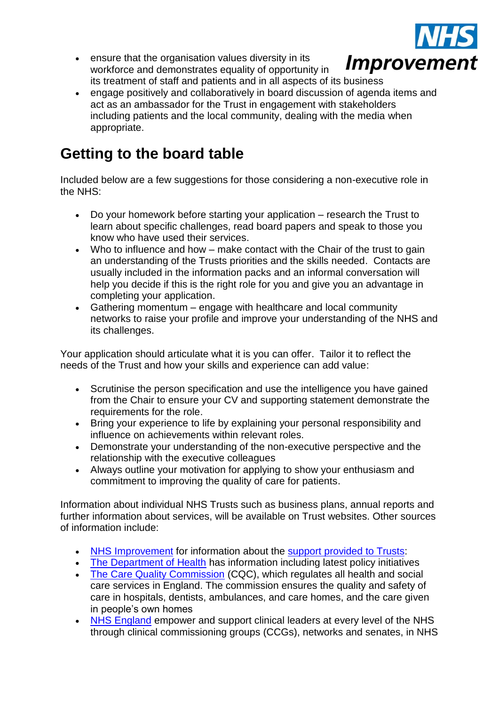

- ensure that the organisation values diversity in its workforce and demonstrates equality of opportunity in its treatment of staff and patients and in all aspects of its business
- engage positively and collaboratively in board discussion of agenda items and act as an ambassador for the Trust in engagement with stakeholders including patients and the local community, dealing with the media when appropriate.

## <span id="page-4-0"></span>**Getting to the board table**

Included below are a few suggestions for those considering a non-executive role in the NHS:

- Do your homework before starting your application research the Trust to learn about specific challenges, read board papers and speak to those you know who have used their services.
- Who to influence and how make contact with the Chair of the trust to gain an understanding of the Trusts priorities and the skills needed. Contacts are usually included in the information packs and an informal conversation will help you decide if this is the right role for you and give you an advantage in completing your application.
- Gathering momentum engage with healthcare and local community networks to raise your profile and improve your understanding of the NHS and its challenges.

Your application should articulate what it is you can offer. Tailor it to reflect the needs of the Trust and how your skills and experience can add value:

- Scrutinise the person specification and use the intelligence you have gained from the Chair to ensure your CV and supporting statement demonstrate the requirements for the role.
- Bring your experience to life by explaining your personal responsibility and influence on achievements within relevant roles.
- Demonstrate your understanding of the non-executive perspective and the relationship with the executive colleagues
- Always outline your motivation for applying to show your enthusiasm and commitment to improving the quality of care for patients.

Information about individual NHS Trusts such as business plans, annual reports and further information about services, will be available on Trust websites. Other sources of information include:

- [NHS Improvement](https://improvement.nhs.uk/) for information about the [support provided to Trusts:](https://improvement.nhs.uk/improvement-hub/)
- [The Department of Health](https://www.gov.uk/government/organisations/department-of-health) has information including latest policy initiatives
- [The Care Quality Commission](http://www.cqc.org.uk/) (CQC), which regulates all health and social care services in England. The commission ensures the quality and safety of care in hospitals, dentists, ambulances, and care homes, and the care given in people's own homes
- [NHS England](http://www.england.nhs.uk/) empower and support clinical leaders at every level of the NHS through clinical commissioning groups (CCGs), networks and senates, in NHS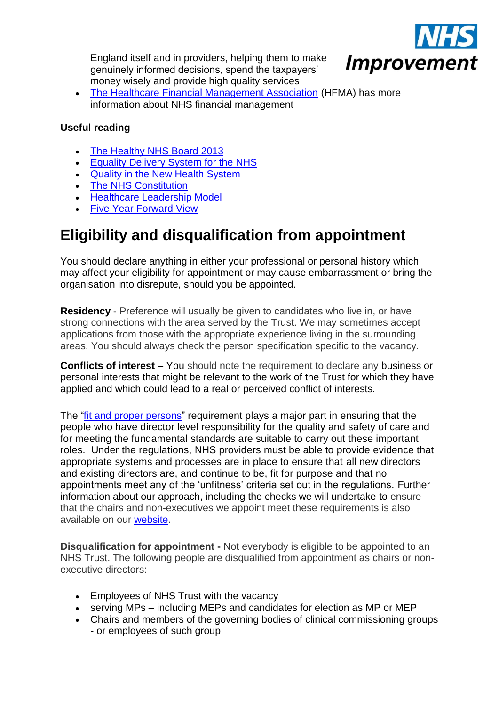England itself and in providers, helping them to make genuinely informed decisions, spend the taxpayers' money wisely and provide high quality services



 [The Healthcare Financial Management Association](hfma.org.uk) (HFMA) has more information about NHS financial management

### **Useful reading**

- [The Healthy NHS Board 2013](http://www.ntda.nhs.uk/wp-content/uploads/2013/04/NHSLeadership-HealthyNHSBoard-2013.pdf)
- **[Equality Delivery System for the NHS](http://www.england.nhs.uk/ourwork/gov/edc/eds/)**
- [Quality in the New Health System](https://www.gov.uk/government/uploads/system/uploads/attachment_data/file/213304/Final-NQB-report-v4-160113.pdf)
- The [NHS Constitution](https://www.gov.uk/government/uploads/system/uploads/attachment_data/file/170656/NHS_Constitution.pdf)
- [Healthcare Leadership Model](http://www.leadershipacademy.nhs.uk/discover/leadershipmodel/)
- [Five Year Forward View](http://www.ntda.nhs.uk/blog/2014/10/23/the-nhs-five-year-forward-view/)

# <span id="page-5-0"></span>**Eligibility and [disqualification from appointment](http://www.ntda.nhs.uk/blog/2014/11/03/terms-and-conditions-of-appointment/)**

You should declare anything in either your professional or personal history which may affect your eligibility for appointment or may cause embarrassment or bring the organisation into disrepute, should you be appointed.

**Residency** - Preference will usually be given to candidates who live in, or have strong connections with the area served by the Trust. We may sometimes accept applications from those with the appropriate experience living in the surrounding areas. You should always check the person specification specific to the vacancy.

**Conflicts of interest** – You should note the requirement to declare any business or personal interests that might be relevant to the work of the Trust for which they have applied and which could lead to a real or perceived conflict of interests.

The "fit and proper [persons"](http://www.cqc.org.uk/guidance-providers/regulations-enforcement/regulation-5-fit-proper-persons-directors) requirement plays a major part in ensuring that the people who have director level responsibility for the quality and safety of care and for meeting the fundamental standards are suitable to carry out these important roles. Under the regulations, NHS providers must be able to provide evidence that appropriate systems and processes are in place to ensure that all new directors and existing directors are, and continue to be, fit for purpose and that no appointments meet any of the 'unfitness' criteria set out in the regulations. Further information about our approach, including the checks we will undertake to ensure that the chairs and non-executives we appoint meet these requirements is also available on our [website.](https://improvement.nhs.uk/news-alerts/fit-and-proper-persons-requirements/)

**Disqualification for appointment -** Not everybody is eligible to be appointed to an NHS Trust. The following people are disqualified from appointment as chairs or nonexecutive directors:

- Employees of NHS Trust with the vacancy
- serving MPs including MEPs and candidates for election as MP or MEP
- Chairs and members of the governing bodies of clinical commissioning groups - or employees of such group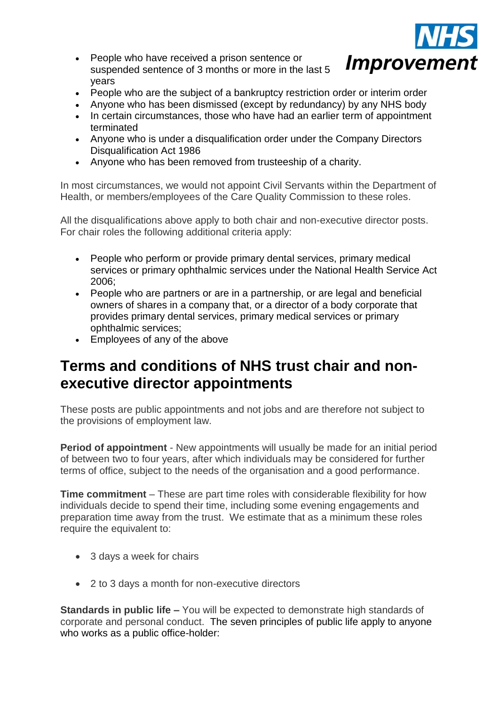

- People who have received a prison sentence or suspended sentence of 3 months or more in the last 5 years
- People who are the subject of a bankruptcy restriction order or interim order
- Anyone who has been dismissed (except by redundancy) by any NHS body
- In certain circumstances, those who have had an earlier term of appointment terminated
- Anyone who is under a disqualification order under the Company Directors Disqualification Act 1986
- Anyone who has been removed from trusteeship of a charity.

In most circumstances, we would not appoint Civil Servants within the Department of Health, or members/employees of the Care Quality Commission to these roles.

All the disqualifications above apply to both chair and non-executive director posts. For chair roles the following additional criteria apply:

- People who perform or provide primary dental services, primary medical services or primary ophthalmic services under the National Health Service Act 2006;
- People who are partners or are in a partnership, or are legal and beneficial owners of shares in a company that, or a director of a body corporate that provides primary dental services, primary medical services or primary ophthalmic services;
- Employees of any of the above

## <span id="page-6-0"></span>**Terms and conditions of NHS trust chair and nonexecutive director appointments**

These posts are public appointments and not jobs and are therefore not subject to the provisions of employment law.

**Period of appointment** - New appointments will usually be made for an initial period of between two to four years, after which individuals may be considered for further terms of office, subject to the needs of the organisation and a good performance.

**Time commitment** – These are part time roles with considerable flexibility for how individuals decide to spend their time, including some evening engagements and preparation time away from the trust. We estimate that as a minimum these roles require the equivalent to:

- 3 days a week for chairs
- 2 to 3 days a month for non-executive directors

**Standards in public life –** You will be expected to demonstrate high standards of corporate and personal conduct. The seven principles of public life apply to anyone who works as a public office-holder: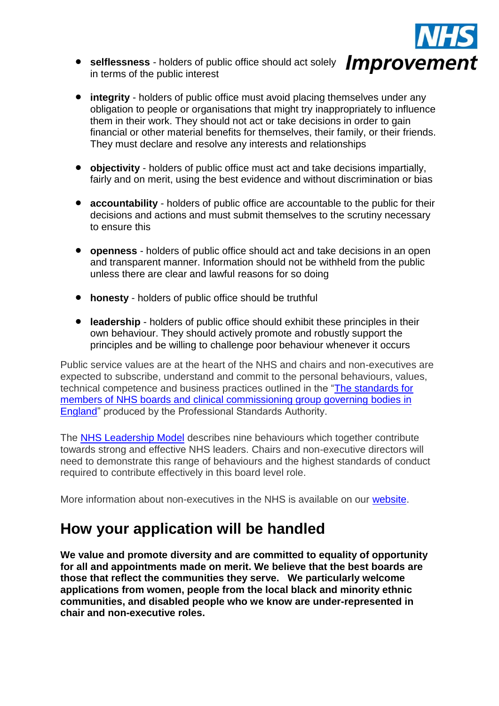

- **•** selflessness holders of public office should act solely *Improvement* in terms of the public interest
- **integrity**  holders of public office must avoid placing themselves under any obligation to people or organisations that might try inappropriately to influence them in their work. They should not act or take decisions in order to gain financial or other material benefits for themselves, their family, or their friends. They must declare and resolve any interests and relationships
- **objectivity**  holders of public office must act and take decisions impartially, fairly and on merit, using the best evidence and without discrimination or bias
- **accountability**  holders of public office are accountable to the public for their decisions and actions and must submit themselves to the scrutiny necessary to ensure this
- **openness**  holders of public office should act and take decisions in an open and transparent manner. Information should not be withheld from the public unless there are clear and lawful reasons for so doing
- **honesty**  holders of public office should be truthful
- **leadership**  holders of public office should exhibit these principles in their own behaviour. They should actively promote and robustly support the principles and be willing to challenge poor behaviour whenever it occurs

Public service values are at the heart of the NHS and chairs and non-executives are expected to subscribe, understand and commit to the personal behaviours, values, technical competence and business practices outlined in the ["The standards for](http://www.professionalstandards.org.uk/docs/default-source/publications/standards/standards-for-members-of-nhs-boards-and-ccgs-2013.pdf?sfvrsn=2)  members of NHS boards and clinical commissioning group governing bodies in [England"](http://www.professionalstandards.org.uk/docs/default-source/publications/standards/standards-for-members-of-nhs-boards-and-ccgs-2013.pdf?sfvrsn=2) produced by the Professional Standards Authority.

The [NHS Leadership Model](http://www.leadershipacademy.nhs.uk/resources/healthcare-leadership-model/) describes nine behaviours which together contribute towards strong and effective NHS leaders. Chairs and non-executive directors will need to demonstrate this range of behaviours and the highest standards of conduct required to contribute effectively in this board level role.

More information about non-executives in the NHS is available on our [website.](https://improvement.nhs.uk/resources/non-executive-appointments/)

## <span id="page-7-0"></span>**How your application will be handled**

**We value and promote diversity and are committed to equality of opportunity for all and appointments made on merit. We believe that the best boards are those that reflect the communities they serve. We particularly welcome applications from women, people from the local black and minority ethnic communities, and disabled people who we know are under-represented in chair and non-executive roles.**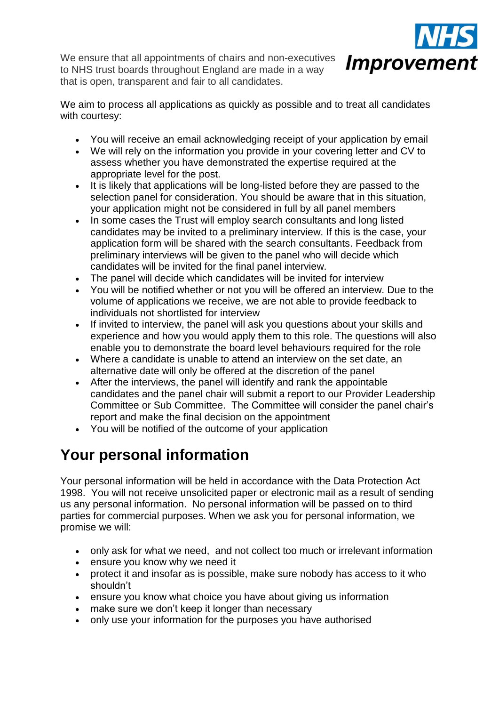We ensure that all appointments of chairs and non-executives to NHS trust boards throughout England are made in a way that is open, transparent and fair to all candidates.



We aim to process all applications as quickly as possible and to treat all candidates with courtesy:

- You will receive an email acknowledging receipt of your application by email
- We will rely on the information you provide in your covering letter and CV to assess whether you have demonstrated the expertise required at the appropriate level for the post.
- It is likely that applications will be long-listed before they are passed to the selection panel for consideration. You should be aware that in this situation, your application might not be considered in full by all panel members
- In some cases the Trust will employ search consultants and long listed candidates may be invited to a preliminary interview. If this is the case, your application form will be shared with the search consultants. Feedback from preliminary interviews will be given to the panel who will decide which candidates will be invited for the final panel interview.
- The panel will decide which candidates will be invited for interview
- You will be notified whether or not you will be offered an interview. Due to the volume of applications we receive, we are not able to provide feedback to individuals not shortlisted for interview
- If invited to interview, the panel will ask you questions about your skills and experience and how you would apply them to this role. The questions will also enable you to demonstrate the board level behaviours required for the role
- Where a candidate is unable to attend an interview on the set date, an alternative date will only be offered at the discretion of the panel
- After the interviews, the panel will identify and rank the appointable candidates and the panel chair will submit a report to our Provider Leadership Committee or Sub Committee. The Committee will consider the panel chair's report and make the final decision on the appointment
- You will be notified of the outcome of your application

## **Your personal information**

Your personal information will be held in accordance with the Data Protection Act 1998. You will not receive unsolicited paper or electronic mail as a result of sending us any personal information. No personal information will be passed on to third parties for commercial purposes. When we ask you for personal information, we promise we will:

- only ask for what we need, and not collect too much or irrelevant information
- ensure you know why we need it
- protect it and insofar as is possible, make sure nobody has access to it who shouldn't
- ensure you know what choice you have about giving us information
- make sure we don't keep it longer than necessary
- only use your information for the purposes you have authorised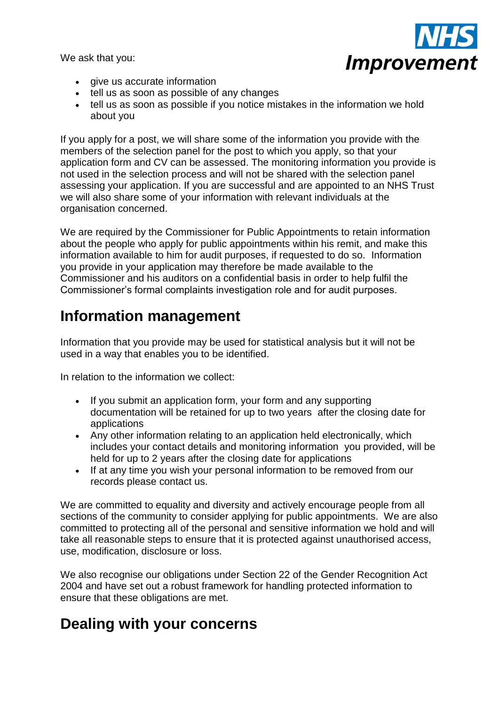We ask that you:



- give us accurate information
- tell us as soon as possible of any changes
- tell us as soon as possible if you notice mistakes in the information we hold about you

If you apply for a post, we will share some of the information you provide with the members of the selection panel for the post to which you apply, so that your application form and CV can be assessed. The monitoring information you provide is not used in the selection process and will not be shared with the selection panel assessing your application. If you are successful and are appointed to an NHS Trust we will also share some of your information with relevant individuals at the organisation concerned.

We are required by the Commissioner for Public Appointments to retain information about the people who apply for public appointments within his remit, and make this information available to him for audit purposes, if requested to do so. Information you provide in your application may therefore be made available to the Commissioner and his auditors on a confidential basis in order to help fulfil the Commissioner's formal complaints investigation role and for audit purposes.

### **Information management**

Information that you provide may be used for statistical analysis but it will not be used in a way that enables you to be identified.

In relation to the information we collect:

- If you submit an application form, your form and any supporting documentation will be retained for up to two years after the closing date for applications
- Any other information relating to an application held electronically, which includes your contact details and monitoring information you provided, will be held for up to 2 years after the closing date for applications
- If at any time you wish your personal information to be removed from our records please contact us.

We are committed to equality and diversity and actively encourage people from all sections of the community to consider applying for public appointments. We are also committed to protecting all of the personal and sensitive information we hold and will take all reasonable steps to ensure that it is protected against unauthorised access, use, modification, disclosure or loss.

We also recognise our obligations under Section 22 of the Gender Recognition Act 2004 and have set out a robust framework for handling protected information to ensure that these obligations are met.

### <span id="page-9-0"></span>**Dealing with your concerns**